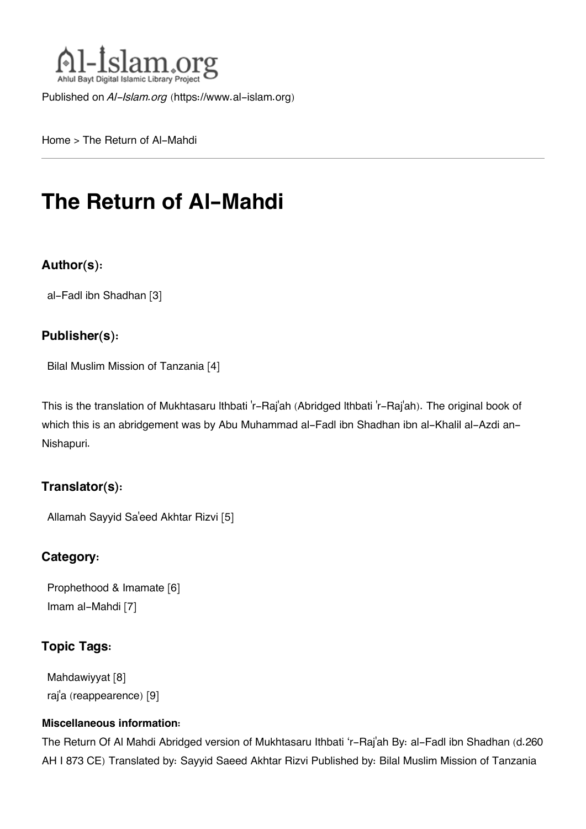

Published on *Al-Islam.org* ([https://www.al-islam.org\)](https://www.al-islam.org)

[Home](https://www.al-islam.org/) > The Return of Al-Mahdi

# **The Return of Al-Mahdi**

#### **Author(s):**

[al-Fadl ibn Shadhan](https://www.al-islam.org/person/al-fadl-ibn-shadhan) [3]

#### **Publisher(s):**

[Bilal Muslim Mission of Tanzania](https://www.al-islam.org/organization/bilal-muslim-mission-tanzania) [4]

This is the translation of Mukhtasaru lthbati 'r-Raj'ah (Abridged lthbati 'r-Raj'ah). The original book of which this is an abridgement was by Abu Muhammad al-Fadl ibn Shadhan ibn al-Khalil al-Azdi an-Nishapuri.

#### **Translator(s):**

[Allamah Sayyid Sa](https://www.al-islam.org/person/allamah-sayyid-saeed-akhtar-rizvi)'eed Akhtar Rizvi [5]

#### **Category:**

[Prophethood & Imamate](https://www.al-islam.org/library/prophethood-imamate) [6] [Imam al-Mahdi](https://www.al-islam.org/library/imam-al-mahdi) [7]

#### **Topic Tags:**

[Mahdawiyyat](https://www.al-islam.org/tags/mahdawiyyat) [8] raj['a \(reappearence\)](https://www.al-islam.org/tags/raja-reappearence) [9]

#### **Miscellaneous information:**

The Return Of Al Mahdi Abridged version of Mukhtasaru Ithbati 'r-Raj'ah By: al-Fadl ibn Shadhan (d.260 AH I 873 CE) Translated by: Sayyid Saeed Akhtar Rizvi Published by: Bilal Muslim Mission of Tanzania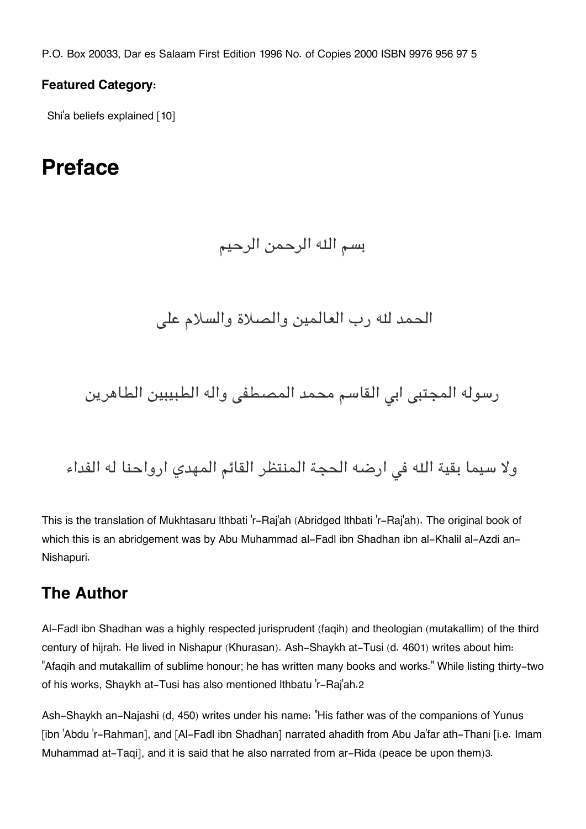P.O. Box 20033, Dar es Salaam First Edition 1996 No. of Copies 2000 ISBN 9976 956 97 5

#### **Featured Category:**

Shi['a beliefs explained](https://www.al-islam.org/feature/shia-beliefs-explained) [10]

# **Preface**

### بسم اله الرحمن الرحيم

الحمد له رب العالمين والصلاة والسلام عل

رسوله المجتبى ابى القاسم محمد المصطفى واله الطبيبين الطاهرين

ولا سيما بقية الله في ارضه الحجة المنتظر القائم المهدي ارواحنا له الفداء

This is the translation of Mukhtasaru lthbati 'r-Raj'ah (Abridged lthbati 'r-Raj'ah). The original book of which this is an abridgement was by Abu Muhammad al-Fadl ibn Shadhan ibn al-Khalil al-Azdi an-Nishapuri.

### **[The Author](#page--1-0)**

Al-Fadl ibn Shadhan was a highly respected jurisprudent (faqih) and theologian (mutakallim) of the third century of hijrah. He lived in Nishapur (Khurasan). Ash-Shaykh at-Tusi (d. 460[1](#page--1-0)) writes about him: "Afaqih and mutakallim of sublime honour; he has written many books and works." While listing thirty-two of his works, Shaykh at-Tusi has also mentioned lthbatu 'r-Raj'ah.[2](#page--1-0)

Ash-Shaykh an-Najashi (d, 450) writes under his name: "His father was of the companions of Yunus [ibn 'Abdu 'r-Rahman], and [Al-Fadl ibn Shadhan] narrated ahadith from Abu Ja'far ath-Thani [i.e. Imam Muhammad at-Taqi], and it is said that he also narrated from ar-Rida (peace be upon them)[3](#page--1-0).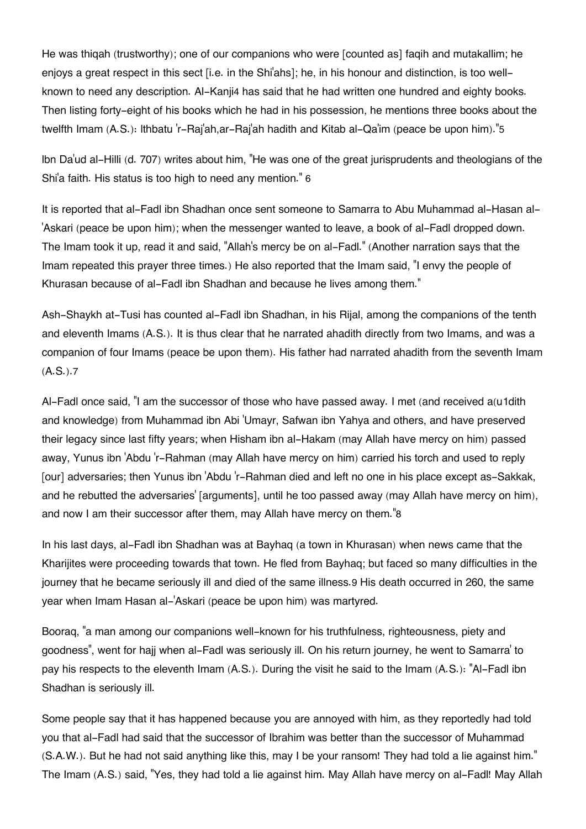He was thiqah (trustworthy); one of our companions who were [counted as] faqih and mutakallim; he enjoys a great respect in this sect [i.e. in the Shi'ahs]; he, in his honour and distinction, is too wellknown to need any description. Al-Kanji[4](#page--1-0) has said that he had written one hundred and eighty books. Then listing forty-eight of his books which he had in his possession, he mentions three books about the twelfth Imam (A.S.): lthbatu 'r-Raj'ah,ar-Raj'ah hadith and Kitab al-Qa'im (peace be upon him)."[5](#page--1-0)

lbn Da'ud al-Hilli (d. 707) writes about him, "He was one of the great jurisprudents and theologians of the Shi'a faith. His status is too high to need any mention." [6](#page--1-0)

It is reported that al-Fadl ibn Shadhan once sent someone to Samarra to Abu Muhammad al-Hasan al- 'Askari (peace be upon him); when the messenger wanted to leave, a book of al-Fadl dropped down. The Imam took it up, read it and said, "Allah's mercy be on al-Fadl." (Another narration says that the Imam repeated this prayer three times.) He also reported that the Imam said, "I envy the people of Khurasan because of al-Fadl ibn Shadhan and because he lives among them."

Ash-Shaykh at-Tusi has counted al-Fadl ibn Shadhan, in his Rijal, among the companions of the tenth and eleventh Imams (A.S.). It is thus clear that he narrated ahadith directly from two Imams, and was a companion of four Imams (peace be upon them). His father had narrated ahadith from the seventh Imam (A.S.).[7](#page--1-0)

Al-Fadl once said, "I am the successor of those who have passed away. I met (and received a(u1dith and knowledge) from Muhammad ibn Abi 'Umayr, Safwan ibn Yahya and others, and have preserved their legacy since last fifty years; when Hisham ibn al-Hakam (may Allah have mercy on him) passed away, Yunus ibn 'Abdu 'r-Rahman (may Allah have mercy on him) carried his torch and used to reply [our] adversaries; then Yunus ibn 'Abdu 'r-Rahman died and left no one in his place except as-Sakkak, and he rebutted the adversaries' [arguments], until he too passed away (may Allah have mercy on him), and now I am their successor after them, may Allah have mercy on them."[8](#page--1-0)

In his last days, al-Fadl ibn Shadhan was at Bayhaq (a town in Khurasan) when news came that the Kharijites were proceeding towards that town. He fled from Bayhaq; but faced so many difficulties in the journey that he became seriously ill and died of the same illness.[9](#page--1-0) His death occurred in 260, the same year when Imam Hasan al-'Askari (peace be upon him) was martyred.

Booraq, "a man among our companions well-known for his truthfulness, righteousness, piety and goodness", went for hajj when al-Fadl was seriously ill. On his return journey, he went to Samarra' to pay his respects to the eleventh Imam (A.S.). During the visit he said to the Imam (A.S.): "Al-Fadl ibn Shadhan is seriously ill.

Some people say that it has happened because you are annoyed with him, as they reportedly had told you that al-Fadl had said that the successor of Ibrahim was better than the successor of Muhammad (S.A.W.). But he had not said anything like this, may I be your ransom! They had told a lie against him." The Imam (A.S.) said, "Yes, they had told a lie against him. May Allah have mercy on al-Fadl! May Allah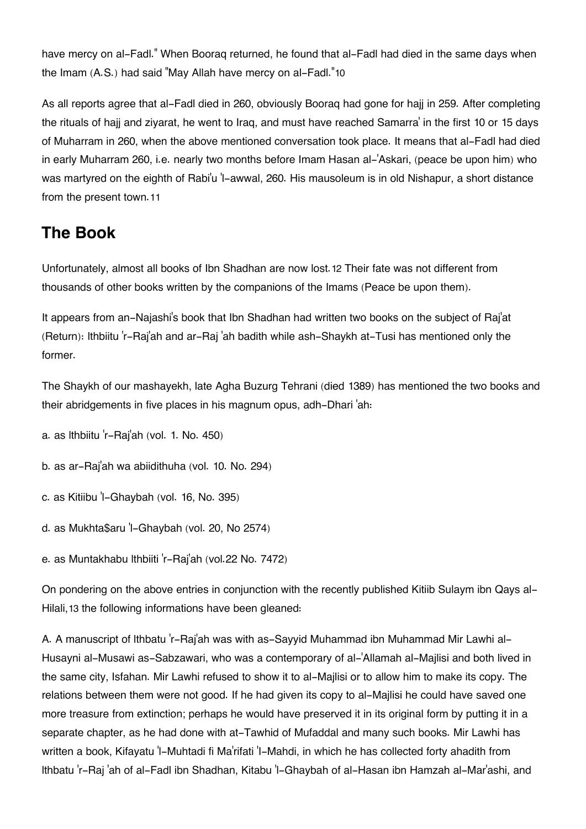have mercy on al-Fadl." When Booraq returned, he found that al-Fadl had died in the same days when the Imam (A.S.) had said "May Allah have mercy on al-Fadl."[10](#page--1-0)

As all reports agree that al-Fadl died in 260, obviously Booraq had gone for hajj in 259. After completing the rituals of hajj and ziyarat, he went to Iraq, and must have reached Samarra' in the first 10 or 15 days of Muharram in 260, when the above mentioned conversation took place. It means that al-Fadl had died in early Muharram 260, i.e. nearly two months before Imam Hasan al-'Askari, (peace be upon him) who was martyred on the eighth of Rabi'u 'l-awwal, 260. His mausoleum is in old Nishapur, a short distance from the present town.[11](#page--1-0)

### **[The Book](#page--1-0)**

Unfortunately, almost all books of Ibn Shadhan are now lost.[12](#page--1-0) Their fate was not different from thousands of other books written by the companions of the Imams (Peace be upon them).

It appears from an-Najashi's book that Ibn Shadhan had written two books on the subject of Raj'at (Return): lthbiitu 'r-Raj'ah and ar-Raj 'ah badith while ash-Shaykh at-Tusi has mentioned only the former.

The Shaykh of our mashayekh, late Agha Buzurg Tehrani (died 1389) has mentioned the two books and their abridgements in five places in his magnum opus, adh-Dhari 'ah:

a. as lthbiitu 'r-Raj'ah (vol. 1. No. 450)

b. as ar-Raj'ah wa abiidithuha (vol. 10. No. 294)

c. as Kitiibu 'l-Ghaybah (vol. 16, No. 395)

d. as Mukhta\$aru 'l-Ghaybah (vol. 20, No 2574)

e. as Muntakhabu lthbiiti 'r-Raj'ah (vol.22 No. 7472)

On pondering on the above entries in conjunction with the recently published Kitiib Sulaym ibn Qays al-Hilali,[13](#page--1-0) the following informations have been gleaned:

A. A manuscript of lthbatu 'r-Raj'ah was with as-Sayyid Muhammad ibn Muhammad Mir Lawhi al-Husayni al-Musawi as-Sabzawari, who was a contemporary of al-'Allamah al-Majlisi and both lived in the same city, Isfahan. Mir Lawhi refused to show it to al-Majlisi or to allow him to make its copy. The relations between them were not good. If he had given its copy to al-Majlisi he could have saved one more treasure from extinction; perhaps he would have preserved it in its original form by putting it in a separate chapter, as he had done with at-Tawhid of Mufaddal and many such books. Mir Lawhi has written a book, Kifayatu 'l-Muhtadi fi Ma'rifati 'I-Mahdi, in which he has collected forty ahadith from lthbatu 'r-Raj 'ah of al-Fadl ibn Shadhan, Kitabu 'l-Ghaybah of al-Hasan ibn Hamzah al-Mar'ashi, and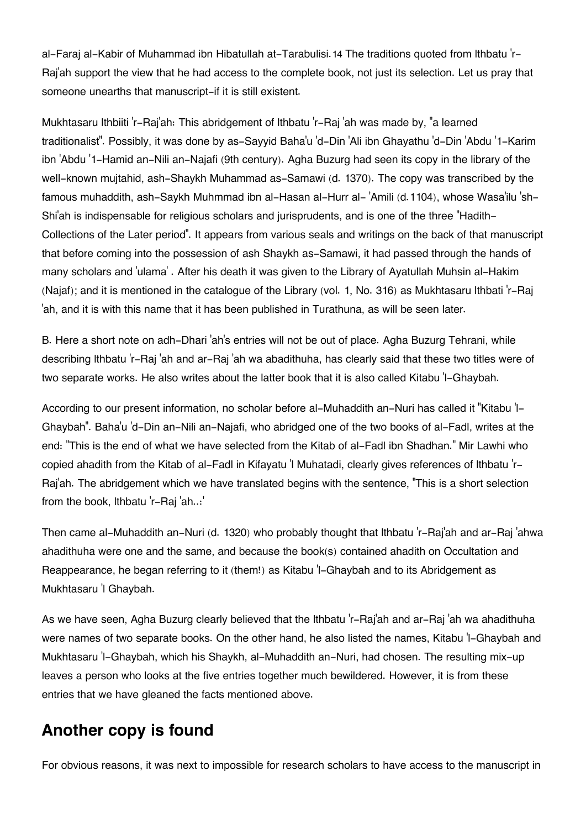al-Faraj al-Kabir of Muhammad ibn Hibatullah at-Tarabulisi. [14](#page--1-0) The traditions quoted from Ithbatu 'r-Raj'ah support the view that he had access to the complete book, not just its selection. Let us pray that someone unearths that manuscript-if it is still existent.

Mukhtasaru lthbiiti 'r-Raj'ah: This abridgement of lthbatu 'r-Raj 'ah was made by, "a learned traditionalist". Possibly, it was done by as-Sayyid Baha'u 'd-Din 'Ali ibn Ghayathu 'd-Din 'Abdu '1-Karim ibn 'Abdu '1-Hamid an-Nili an-Najafi (9th century). Agha Buzurg had seen its copy in the library of the well-known mujtahid, ash-Shaykh Muhammad as-Samawi (d. 1370). The copy was transcribed by the famous muhaddith, ash-Saykh Muhmmad ibn al-Hasan al-Hurr al- 'Amili (d.1104), whose Wasa'ilu 'sh-Shi'ah is indispensable for religious scholars and jurisprudents, and is one of the three "Hadith-Collections of the Later period". It appears from various seals and writings on the back of that manuscript that before coming into the possession of ash Shaykh as-Samawi, it had passed through the hands of many scholars and 'ulama' . After his death it was given to the Library of Ayatullah Muhsin al-Hakim (Najaf); and it is mentioned in the catalogue of the Library (vol. 1, No. 316) as Mukhtasaru lthbati 'r-Raj 'ah, and it is with this name that it has been published in Turathuna, as will be seen later.

B. Here a short note on adh-Dhari 'ah's entries will not be out of place. Agha Buzurg Tehrani, while describing lthbatu 'r-Raj 'ah and ar-Raj 'ah wa abadithuha, has clearly said that these two titles were of two separate works. He also writes about the latter book that it is also called Kitabu 'l-Ghaybah.

According to our present information, no scholar before al-Muhaddith an-Nuri has called it "Kitabu 'l-Ghaybah". Baha'u 'd-Din an-Nili an-Najafi, who abridged one of the two books of al-Fadl, writes at the end: "This is the end of what we have selected from the Kitab of al-Fadl ibn Shadhan." Mir Lawhi who copied ahadith from the Kitab of al-Fadl in Kifayatu 'l Muhatadi, clearly gives references of lthbatu 'r-Raj'ah. The abridgement which we have translated begins with the sentence, "This is a short selection from the book, lthbatu 'r-Raj 'ah..:'

Then came al-Muhaddith an-Nuri (d. 1320) who probably thought that lthbatu 'r-Raj'ah and ar-Raj 'ahwa ahadithuha were one and the same, and because the book(s) contained ahadith on Occultation and Reappearance, he began referring to it (them!) as Kitabu 'l-Ghaybah and to its Abridgement as Mukhtasaru 'l Ghaybah.

As we have seen, Agha Buzurg clearly believed that the lthbatu 'r-Raj'ah and ar-Raj 'ah wa ahadithuha were names of two separate books. On the other hand, he also listed the names, Kitabu 'l-Ghaybah and Mukhtasaru 'l-Ghaybah, which his Shaykh, al-Muhaddith an-Nuri, had chosen. The resulting mix-up leaves a person who looks at the five entries together much bewildered. However, it is from these entries that we have gleaned the facts mentioned above.

#### **[Another copy is found](#page--1-0)**

For obvious reasons, it was next to impossible for research scholars to have access to the manuscript in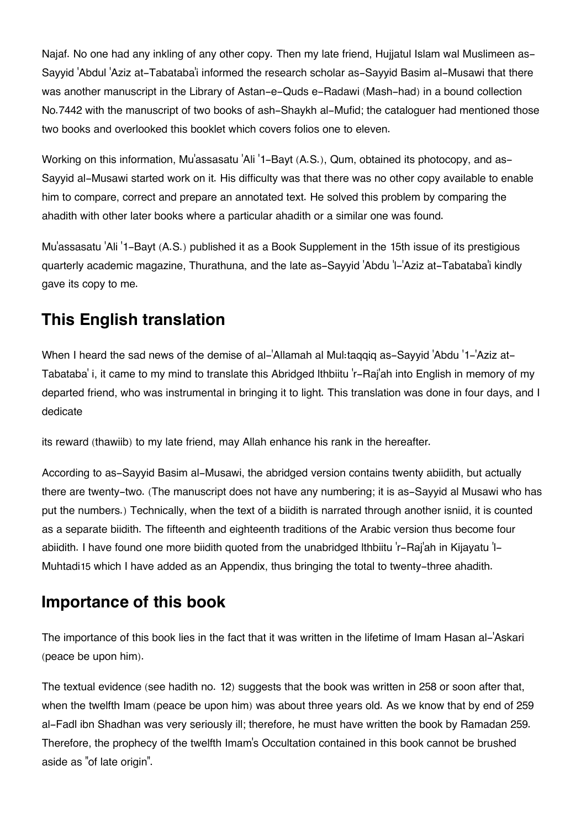Najaf. No one had any inkling of any other copy. Then my late friend, Hujjatul Islam wal Muslimeen as-Sayyid 'Abdul 'Aziz at-Tabataba'i informed the research scholar as-Sayyid Basim al-Musawi that there was another manuscript in the Library of Astan-e-Quds e-Radawi (Mash-had) in a bound collection No.7442 with the manuscript of two books of ash-Shaykh al-Mufid; the cataloguer had mentioned those two books and overlooked this booklet which covers folios one to eleven.

Working on this information, Mu'assasatu 'Ali '1-Bayt (A.S.), Qum, obtained its photocopy, and as-Sayyid al-Musawi started work on it. His difficulty was that there was no other copy available to enable him to compare, correct and prepare an annotated text. He solved this problem by comparing the ahadith with other later books where a particular ahadith or a similar one was found.

Mu'assasatu 'Ali '1-Bayt (A.S.) published it as a Book Supplement in the 15th issue of its prestigious quarterly academic magazine, Thurathuna, and the late as-Sayyid 'Abdu 'l-'Aziz at-Tabataba'i kindly gave its copy to me.

# **[This English translation](#page--1-0)**

When I heard the sad news of the demise of al-'Allamah al Mul:taqqiq as-Sayyid 'Abdu '1-'Aziz at-Tabataba' i, it came to my mind to translate this Abridged lthbiitu 'r-Raj'ah into English in memory of my departed friend, who was instrumental in bringing it to light. This translation was done in four days, and I dedicate

its reward (thawiib) to my late friend, may Allah enhance his rank in the hereafter.

According to as-Sayyid Basim al-Musawi, the abridged version contains twenty abiidith, but actually there are twenty-two. (The manuscript does not have any numbering; it is as-Sayyid al Musawi who has put the numbers.) Technically, when the text of a biidith is narrated through another isniid, it is counted as a separate biidith. The fifteenth and eighteenth traditions of the Arabic version thus become four abiidith. I have found one more biidith quoted from the unabridged lthbiitu 'r-Raj'ah in Kijayatu 'l-Muhtadi[15](#page--1-0) which I have added as an Appendix, thus bringing the total to twenty-three ahadith.

### **[Importance of this book](#page--1-0)**

The importance of this book lies in the fact that it was written in the lifetime of Imam Hasan al-'Askari (peace be upon him).

The textual evidence (see hadith no. 12) suggests that the book was written in 258 or soon after that, when the twelfth Imam (peace be upon him) was about three years old. As we know that by end of 259 al-Fadl ibn Shadhan was very seriously ill; therefore, he must have written the book by Ramadan 259. Therefore, the prophecy of the twelfth Imam's Occultation contained in this book cannot be brushed aside as "of late origin".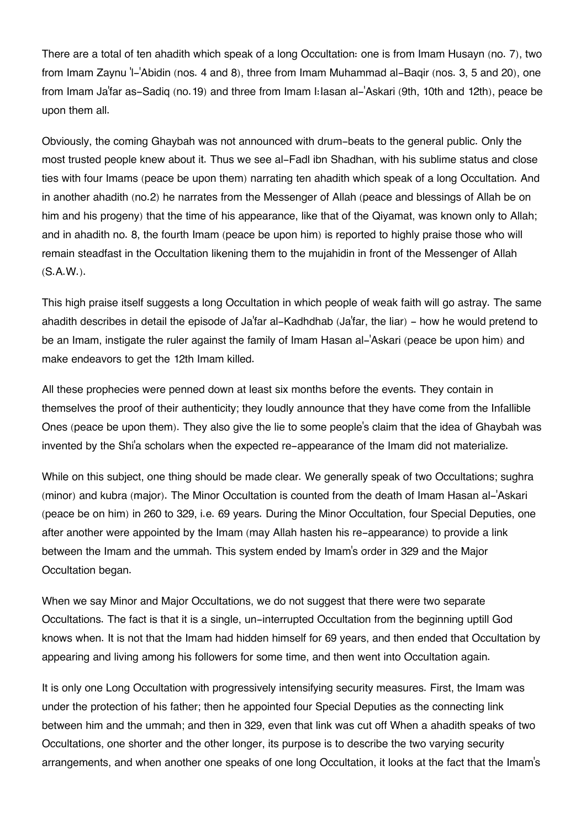There are a total of ten ahadith which speak of a long Occultation: one is from Imam Husayn (no. 7), two from Imam Zaynu 'l-'Abidin (nos. 4 and 8), three from Imam Muhammad al-Baqir (nos. 3, 5 and 20), one from Imam Ja'far as-Sadiq (no.19) and three from Imam I:Iasan al-'Askari (9th, 10th and 12th), peace be upon them all.

Obviously, the coming Ghaybah was not announced with drum-beats to the general public. Only the most trusted people knew about it. Thus we see al-Fadl ibn Shadhan, with his sublime status and close ties with four Imams (peace be upon them) narrating ten ahadith which speak of a long Occultation. And in another ahadith (no.2) he narrates from the Messenger of Allah (peace and blessings of Allah be on him and his progeny) that the time of his appearance, like that of the Qiyamat, was known only to Allah; and in ahadith no. 8, the fourth Imam (peace be upon him) is reported to highly praise those who will remain steadfast in the Occultation likening them to the mujahidin in front of the Messenger of Allah (S.A.W.).

This high praise itself suggests a long Occultation in which people of weak faith will go astray. The same ahadith describes in detail the episode of Ja'far al-Kadhdhab (Ja'far, the liar) - how he would pretend to be an Imam, instigate the ruler against the family of Imam Hasan al-'Askari (peace be upon him) and make endeavors to get the 12th Imam killed.

All these prophecies were penned down at least six months before the events. They contain in themselves the proof of their authenticity; they loudly announce that they have come from the Infallible Ones (peace be upon them). They also give the lie to some people's claim that the idea of Ghaybah was invented by the Shi'a scholars when the expected re-appearance of the Imam did not materialize.

While on this subject, one thing should be made clear. We generally speak of two Occultations; sughra (minor) and kubra (major). The Minor Occultation is counted from the death of Imam Hasan al-'Askari (peace be on him) in 260 to 329, i.e. 69 years. During the Minor Occultation, four Special Deputies, one after another were appointed by the Imam (may Allah hasten his re-appearance) to provide a link between the Imam and the ummah. This system ended by Imam's order in 329 and the Major Occultation began.

When we say Minor and Major Occultations, we do not suggest that there were two separate Occultations. The fact is that it is a single, un-interrupted Occultation from the beginning uptill God knows when. It is not that the Imam had hidden himself for 69 years, and then ended that Occultation by appearing and living among his followers for some time, and then went into Occultation again.

It is only one Long Occultation with progressively intensifying security measures. First, the Imam was under the protection of his father; then he appointed four Special Deputies as the connecting link between him and the ummah; and then in 329, even that link was cut off When a ahadith speaks of two Occultations, one shorter and the other longer, its purpose is to describe the two varying security arrangements, and when another one speaks of one long Occultation, it looks at the fact that the Imam's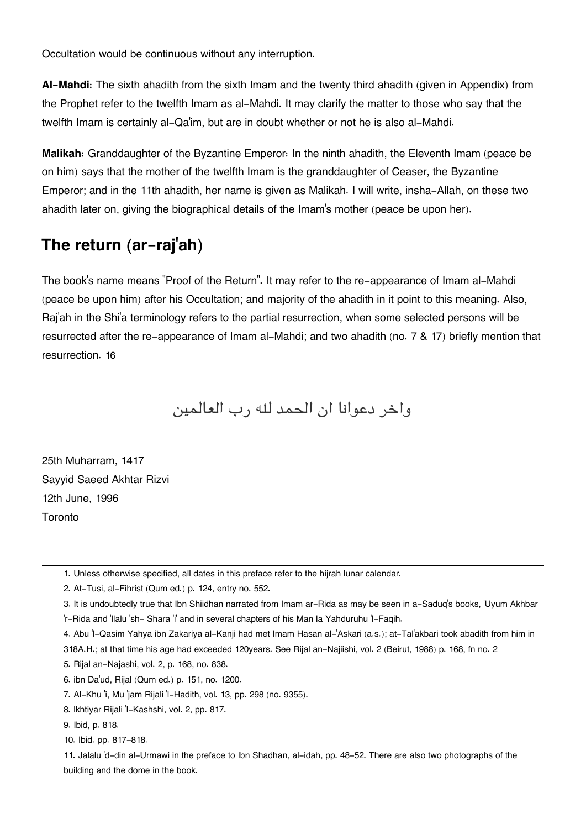Occultation would be continuous without any interruption.

**Al-Mahdi:** The sixth ahadith from the sixth Imam and the twenty third ahadith (given in Appendix) from the Prophet refer to the twelfth Imam as al-Mahdi. It may clarify the matter to those who say that the twelfth Imam is certainly al-Qa'im, but are in doubt whether or not he is also al-Mahdi.

**Malikah:** Granddaughter of the Byzantine Emperor: In the ninth ahadith, the Eleventh Imam (peace be on him) says that the mother of the twelfth Imam is the granddaughter of Ceaser, the Byzantine Emperor; and in the 11th ahadith, her name is given as Malikah. I will write, insha-Allah, on these two ahadith later on, giving the biographical details of the Imam's mother (peace be upon her).

## **[The return \(ar-raj](#page--1-0)'ah)**

The book's name means "Proof of the Return". It may refer to the re-appearance of Imam al-Mahdi (peace be upon him) after his Occultation; and majority of the ahadith in it point to this meaning. Also, Raj'ah in the Shi'a terminology refers to the partial resurrection, when some selected persons will be resurrected after the re-appearance of Imam al-Mahdi; and two ahadith (no. 7 & 17) briefly mention that resurrection. [16](#page--1-0)

واخر دعوانا ان الحمد له رب العالمين

25th Muharram, 1417 Sayyid Saeed Akhtar Rizvi 12th June, 1996 Toronto

[2.](#page--1-0) At-Tusi, al-Fihrist (Qum ed.) p. 124, entry no. 552.

- [3.](#page--1-0) It is undoubtedly true that Ibn Shiidhan narrated from Imam ar-Rida as may be seen in a-Saduq's books, 'Uyum Akhbar 'r-Rida and 'llalu 'sh- Shara 'i' and in several chapters of his Man la Yahduruhu 'l-Faqih.
- [4.](#page--1-0) Abu 'l-Qasim Yahya ibn Zakariya al-Kanji had met Imam Hasan al-'Askari (a.s.); at-Tal'akbari took abadith from him in
- 318A.H.; at that time his age had exceeded 120years. See Rijal an-Najiishi, vol. 2 (Beirut, 1988) p. 168, fn no. 2

[5.](#page--1-0) Rijal an-Najashi, vol. 2, p. 168, no. 838.

[6.](#page--1-0) ibn Da'ud, Rijal (Qum ed.) p. 151, no. 1200.

[7.](#page--1-0) Al-Khu 'i, Mu 'jam Rijali 'l-Hadith, vol. 13, pp. 298 (no. 9355).

[<sup>1.</sup>](#page--1-0) Unless otherwise specified, all dates in this preface refer to the hijrah lunar calendar.

[<sup>8.</sup>](#page--1-0) lkhtiyar Rijali 'l-Kashshi, vol. 2, pp. 817.

[<sup>9.</sup>](#page--1-0) Ibid, p. 818.

[<sup>10.</sup>](#page--1-0) Ibid. pp. 817-818.

[<sup>11.</sup>](#page--1-0) Jalalu 'd-din al-Urmawi in the preface to Ibn Shadhan, al-idah, pp. 48-52. There are also two photographs of the building and the dome in the book.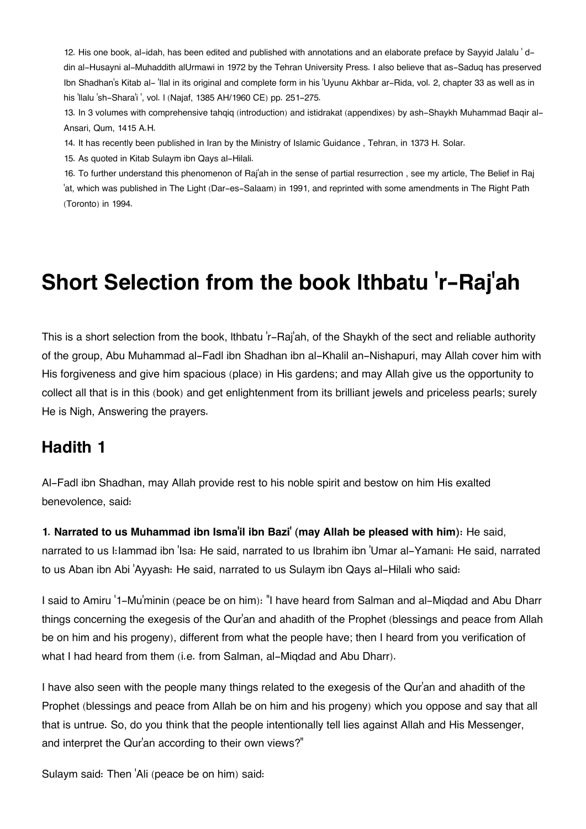[12.](#page--1-0) His one book, al-idah, has been edited and published with annotations and an elaborate preface by Sayyid Jalalu ' ddin al-Husayni al-Muhaddith alUrmawi in 1972 by the Tehran University Press. I also believe that as-Saduq has preserved Ibn Shadhan's Kitab al- 'Ilal in its original and complete form in his 'Uyunu Akhbar ar-Rida, vol. 2, chapter 33 as well as in his 'llalu 'sh-Shara'i ', vol. l (Najaf, 1385 AH/1960 CE) pp. 251-275.

[13.](#page--1-0) In 3 volumes with comprehensive tahqiq (introduction) and istidrakat (appendixes) by ash-Shaykh Muhammad Baqir al-Ansari, Qum, 1415 A.H.

[14.](#page--1-0) It has recently been published in Iran by the Ministry of Islamic Guidance , Tehran, in 1373 H. Solar.

[15.](#page--1-0) As quoted in Kitab Sulaym ibn Qays al-Hilali.

[16.](#page--1-0) To further understand this phenomenon of Raj'ah in the sense of partial resurrection , see my article, The Belief in Raj 'at, which was published in The Light (Dar-es-Salaam) in 1991, and reprinted with some amendments in The Right Path (Toronto) in 1994.

# **Short Selection from the book lthbatu 'r-Raj'ah**

This is a short selection from the book, lthbatu 'r-Raj'ah, of the Shaykh of the sect and reliable authority of the group, Abu Muhammad al-Fadl ibn Shadhan ibn al-Khalil an-Nishapuri, may Allah cover him with His forgiveness and give him spacious (place) in His gardens; and may Allah give us the opportunity to collect all that is in this (book) and get enlightenment from its brilliant jewels and priceless pearls; surely He is Nigh, Answering the prayers.

#### **[Hadith 1](#page--1-0)**

Al-Fadl ibn Shadhan, may Allah provide rest to his noble spirit and bestow on him His exalted benevolence, said:

#### **1. Narrated to us Muhammad ibn Isma'il ibn Bazi' (may Allah be pleased with him):** He said,

narrated to us I: lammad ibn 'Isa: He said, narrated to us Ibrahim ibn 'Umar al-Yamani: He said, narrated to us Aban ibn Abi 'Ayyash: He said, narrated to us Sulaym ibn Qays al-Hilali who said:

I said to Amiru '1-Mu'minin (peace be on him): "I have heard from Salman and al-Miqdad and Abu Dharr things concerning the exegesis of the Qur'an and ahadith of the Prophet (blessings and peace from Allah be on him and his progeny), different from what the people have; then I heard from you verification of what I had heard from them (i.e. from Salman, al-Miqdad and Abu Dharr).

I have also seen with the people many things related to the exegesis of the Qur'an and ahadith of the Prophet (blessings and peace from Allah be on him and his progeny) which you oppose and say that all that is untrue. So, do you think that the people intentionally tell lies against Allah and His Messenger, and interpret the Qur'an according to their own views?"

Sulaym said: Then 'Ali (peace be on him) said: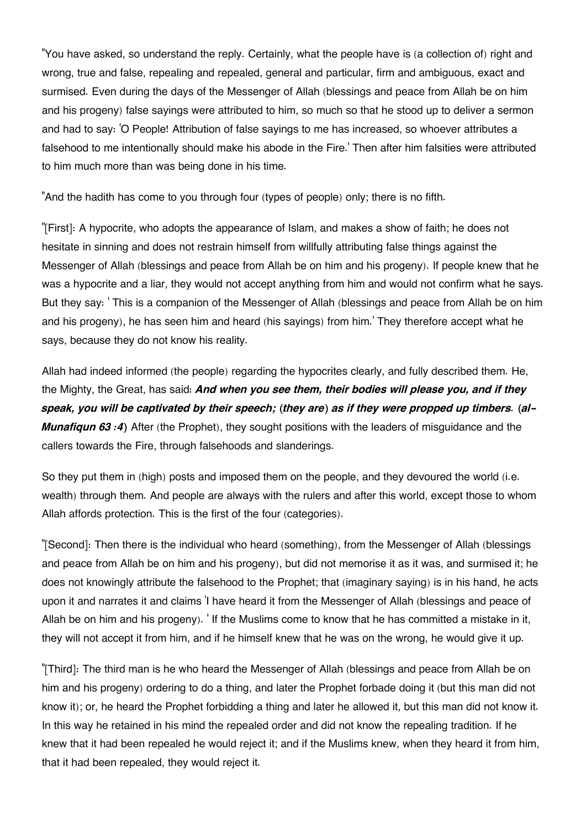"You have asked, so understand the reply. Certainly, what the people have is (a collection of) right and wrong, true and false, repealing and repealed, general and particular, firm and ambiguous, exact and surmised. Even during the days of the Messenger of Allah (blessings and peace from Allah be on him and his progeny) false sayings were attributed to him, so much so that he stood up to deliver a sermon and had to say: 'O People! Attribution of false sayings to me has increased, so whoever attributes a falsehood to me intentionally should make his abode in the Fire.' Then after him falsities were attributed to him much more than was being done in his time.

"And the hadith has come to you through four (types of people) only; there is no fifth.

"[First]: A hypocrite, who adopts the appearance of Islam, and makes a show of faith; he does not hesitate in sinning and does not restrain himself from willfully attributing false things against the Messenger of Allah (blessings and peace from Allah be on him and his progeny). If people knew that he was a hypocrite and a liar, they would not accept anything from him and would not confirm what he says. But they say: ' This is a companion of the Messenger of Allah (blessings and peace from Allah be on him and his progeny), he has seen him and heard (his sayings) from him.' They therefore accept what he says, because they do not know his reality.

Allah had indeed informed (the people) regarding the hypocrites clearly, and fully described them. He, the Mighty, the Great, has said: *And when you see them, their bodies will please you, and if they speak, you will be captivated by their speech; (they are) as if they were propped up timbers. (al-Munafiqun 63 : 4*) After (the Prophet), they sought positions with the leaders of misquidance and the callers towards the Fire, through falsehoods and slanderings.

So they put them in (high) posts and imposed them on the people, and they devoured the world (i.e. wealth) through them. And people are always with the rulers and after this world, except those to whom Allah affords protection. This is the first of the four (categories).

"[Second]: Then there is the individual who heard (something), from the Messenger of Allah (blessings and peace from Allah be on him and his progeny), but did not memorise it as it was, and surmised it; he does not knowingly attribute the falsehood to the Prophet; that (imaginary saying) is in his hand, he acts upon it and narrates it and claims 'I have heard it from the Messenger of Allah (blessings and peace of Allah be on him and his progeny). ' If the Muslims come to know that he has committed a mistake in it, they will not accept it from him, and if he himself knew that he was on the wrong, he would give it up.

"[Third]: The third man is he who heard the Messenger of Allah (blessings and peace from Allah be on him and his progeny) ordering to do a thing, and later the Prophet forbade doing it (but this man did not know it); or, he heard the Prophet forbidding a thing and later he allowed it, but this man did not know it. In this way he retained in his mind the repealed order and did not know the repealing tradition. If he knew that it had been repealed he would reject it; and if the Muslims knew, when they heard it from him, that it had been repealed, they would reject it.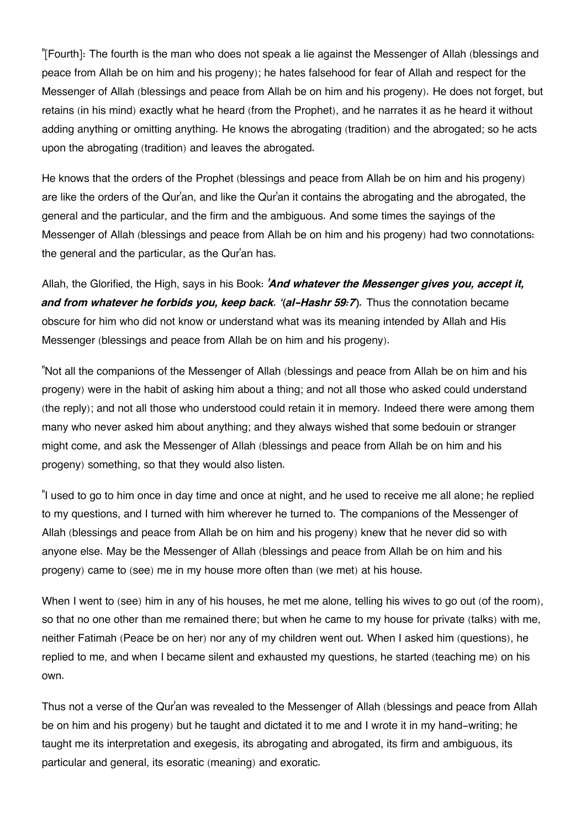"[Fourth]: The fourth is the man who does not speak a lie against the Messenger of Allah (blessings and peace from Allah be on him and his progeny); he hates falsehood for fear of Allah and respect for the Messenger of Allah (blessings and peace from Allah be on him and his progeny). He does not forget, but retains (in his mind) exactly what he heard (from the Prophet), and he narrates it as he heard it without adding anything or omitting anything. He knows the abrogating (tradition) and the abrogated; so he acts upon the abrogating (tradition) and leaves the abrogated.

He knows that the orders of the Prophet (blessings and peace from Allah be on him and his progeny) are like the orders of the Qur'an, and like the Qur'an it contains the abrogating and the abrogated, the general and the particular, and the firm and the ambiguous. And some times the sayings of the Messenger of Allah (blessings and peace from Allah be on him and his progeny) had two connotations: the general and the particular, as the Qur'an has.

Allah, the Glorified, the High, says in his Book: *'And whatever the Messenger gives you, accept it,* and from whatever he forbids you, keep back. '(al-Hashr 59:7). Thus the connotation became obscure for him who did not know or understand what was its meaning intended by Allah and His Messenger (blessings and peace from Allah be on him and his progeny).

"Not all the companions of the Messenger of Allah (blessings and peace from Allah be on him and his progeny) were in the habit of asking him about a thing; and not all those who asked could understand (the reply); and not all those who understood could retain it in memory. Indeed there were among them many who never asked him about anything; and they always wished that some bedouin or stranger might come, and ask the Messenger of Allah (blessings and peace from Allah be on him and his progeny) something, so that they would also listen.

"I used to go to him once in day time and once at night, and he used to receive me all alone; he replied to my questions, and I turned with him wherever he turned to. The companions of the Messenger of Allah (blessings and peace from Allah be on him and his progeny) knew that he never did so with anyone else. May be the Messenger of Allah (blessings and peace from Allah be on him and his progeny) came to (see) me in my house more often than (we met) at his house.

When I went to (see) him in any of his houses, he met me alone, telling his wives to go out (of the room), so that no one other than me remained there; but when he came to my house for private (talks) with me, neither Fatimah (Peace be on her) nor any of my children went out. When I asked him (questions), he replied to me, and when I became silent and exhausted my questions, he started (teaching me) on his own.

Thus not a verse of the Qur'an was revealed to the Messenger of Allah (blessings and peace from Allah be on him and his progeny) but he taught and dictated it to me and I wrote it in my hand-writing; he taught me its interpretation and exegesis, its abrogating and abrogated, its firm and ambiguous, its particular and general, its esoratic (meaning) and exoratic.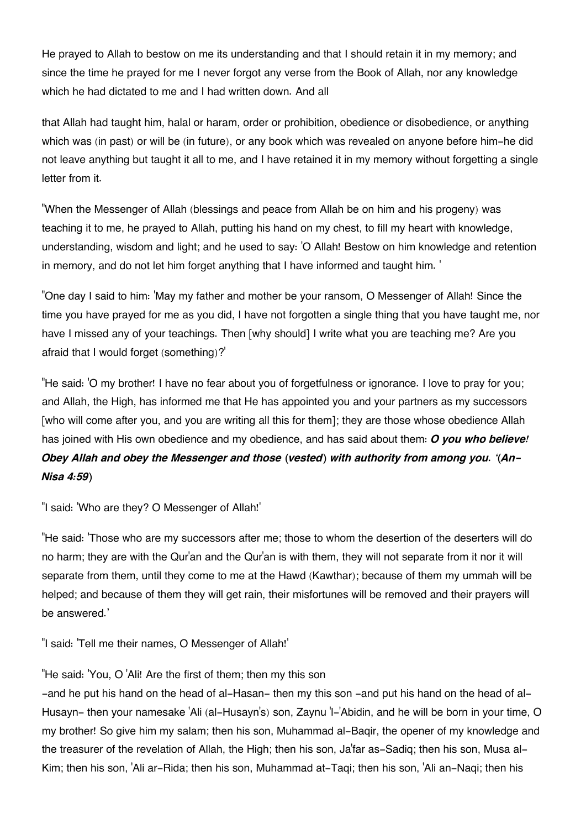He prayed to Allah to bestow on me its understanding and that I should retain it in my memory; and since the time he prayed for me I never forgot any verse from the Book of Allah, nor any knowledge which he had dictated to me and I had written down. And all

that Allah had taught him, halal or haram, order or prohibition, obedience or disobedience, or anything which was (in past) or will be (in future), or any book which was revealed on anyone before him-he did not leave anything but taught it all to me, and I have retained it in my memory without forgetting a single letter from it.

"When the Messenger of Allah (blessings and peace from Allah be on him and his progeny) was teaching it to me, he prayed to Allah, putting his hand on my chest, to fill my heart with knowledge, understanding, wisdom and light; and he used to say: 'O Allah! Bestow on him knowledge and retention in memory, and do not let him forget anything that I have informed and taught him. '

"One day I said to him: 'May my father and mother be your ransom, O Messenger of Allah! Since the time you have prayed for me as you did, I have not forgotten a single thing that you have taught me, nor have I missed any of your teachings. Then [why should] I write what you are teaching me? Are you afraid that I would forget (something)?'

"He said: 'O my brother! I have no fear about you of forgetfulness or ignorance. I love to pray for you; and Allah, the High, has informed me that He has appointed you and your partners as my successors [who will come after you, and you are writing all this for them]; they are those whose obedience Allah has joined with His own obedience and my obedience, and has said about them: *O you who believe! Obey Allah and obey the Messenger and those (vested) with authority from among you. '(An-Nisa 4:59)*

"I said: 'Who are they? O Messenger of Allah!'

"He said: 'Those who are my successors after me; those to whom the desertion of the deserters will do no harm; they are with the Qur'an and the Qur'an is with them, they will not separate from it nor it will separate from them, until they come to me at the Hawd (Kawthar); because of them my ummah will be helped; and because of them they will get rain, their misfortunes will be removed and their prayers will be answered.'

"I said: 'Tell me their names, O Messenger of Allah!'

"He said: 'You, O 'Ali! Are the first of them; then my this son

-and he put his hand on the head of al-Hasan- then my this son -and put his hand on the head of al-Husayn- then your namesake 'Ali (al-Husayn's) son, Zaynu 'l-'Abidin, and he will be born in your time, O my brother! So give him my salam; then his son, Muhammad al-Baqir, the opener of my knowledge and the treasurer of the revelation of Allah, the High; then his son, Ja'far as-Sadiq; then his son, Musa al-Kim; then his son, 'Ali ar-Rida; then his son, Muhammad at-Taqi; then his son, 'Ali an-Naqi; then his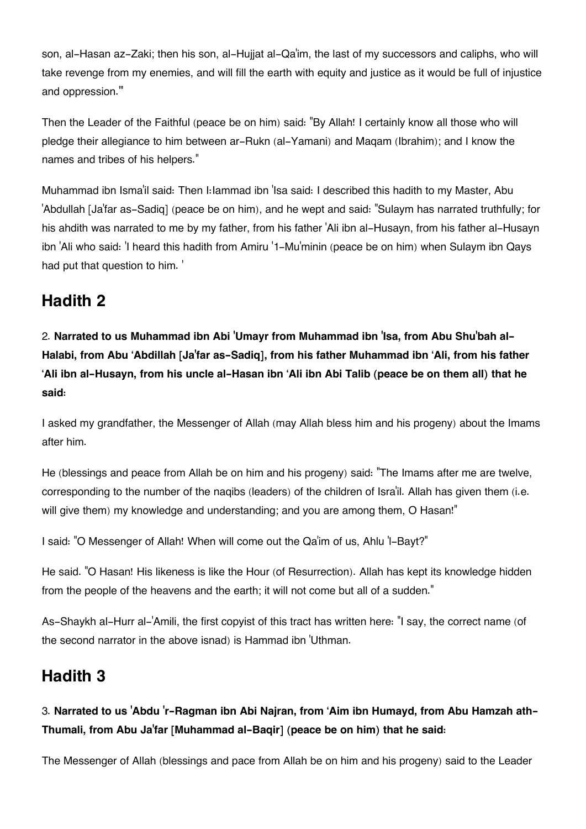son, al-Hasan az-Zaki; then his son, al-Hujjat al-Qa'im, the last of my successors and caliphs, who will take revenge from my enemies, and will fill the earth with equity and justice as it would be full of injustice and oppression."'

Then the Leader of the Faithful (peace be on him) said: "By Allah! I certainly know all those who will pledge their allegiance to him between ar-Rukn (al-Yamani) and Maqam (Ibrahim); and I know the names and tribes of his helpers."

Muhammad ibn Isma'il said: Then I:Iammad ibn 'Isa said: I described this hadith to my Master, Abu 'Abdullah [Ja'far as-Sadiq] (peace be on him), and he wept and said: "Sulaym has narrated truthfully; for his ahdith was narrated to me by my father, from his father 'Ali ibn al-Husayn, from his father al-Husayn ibn 'Ali who said: 'I heard this hadith from Amiru '1-Mu'minin (peace be on him) when Sulaym ibn Qays had put that question to him. '

### **[Hadith 2](#page--1-0)**

2. **Narrated to us Muhammad ibn Abi 'Umayr from Muhammad ibn 'Isa, from Abu Shu'bah al-Halabi, from Abu 'Abdillah [Ja'far as-Sadiq], from his father Muhammad ibn 'Ali, from his father 'Ali ibn al-Husayn, from his uncle al-Hasan ibn 'Ali ibn Abi Talib (peace be on them all) that he said:**

I asked my grandfather, the Messenger of Allah (may Allah bless him and his progeny) about the Imams after him.

He (blessings and peace from Allah be on him and his progeny) said: "The Imams after me are twelve, corresponding to the number of the naqibs (leaders) of the children of Isra'il. Allah has given them (i.e. will give them) my knowledge and understanding; and you are among them, O Hasan!"

I said: "O Messenger of Allah! When will come out the Qa'im of us, Ahlu 'l-Bayt?"

He said. "O Hasan! His likeness is like the Hour (of Resurrection). Allah has kept its knowledge hidden from the people of the heavens and the earth; it will not come but all of a sudden."

As-Shaykh al-Hurr al-'Amili, the first copyist of this tract has written here: "I say, the correct name (of the second narrator in the above isnad) is Hammad ibn 'Uthman.

#### **[Hadith 3](#page--1-0)**

#### 3. **Narrated to us 'Abdu 'r-Ragman ibn Abi Najran, from 'Aim ibn Humayd, from Abu Hamzah ath-Thumali, from Abu Ja'far [Muhammad al-Baqir] (peace be on him) that he said:**

The Messenger of Allah (blessings and pace from Allah be on him and his progeny) said to the Leader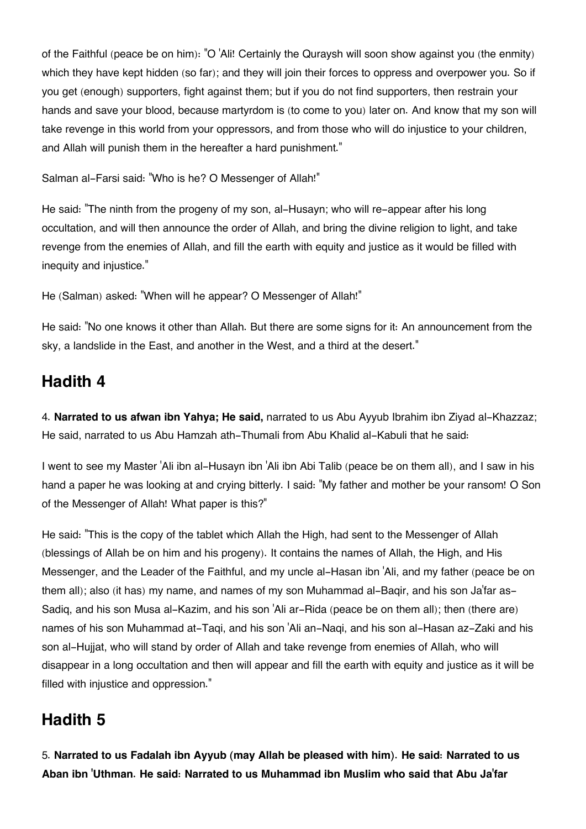of the Faithful (peace be on him): "O 'Ali! Certainly the Quraysh will soon show against you (the enmity) which they have kept hidden (so far); and they will join their forces to oppress and overpower you. So if you get (enough) supporters, fight against them; but if you do not find supporters, then restrain your hands and save your blood, because martyrdom is (to come to you) later on. And know that my son will take revenge in this world from your oppressors, and from those who will do injustice to your children, and Allah will punish them in the hereafter a hard punishment."

Salman al-Farsi said: "Who is he? O Messenger of Allah!"

He said: "The ninth from the progeny of my son, al-Husayn; who will re-appear after his long occultation, and will then announce the order of Allah, and bring the divine religion to light, and take revenge from the enemies of Allah, and fill the earth with equity and justice as it would be filled with inequity and injustice."

He (Salman) asked: "When will he appear? O Messenger of Allah!"

He said: "No one knows it other than Allah. But there are some signs for it: An announcement from the sky, a landslide in the East, and another in the West, and a third at the desert."

## **[Hadith 4](#page--1-0)**

4. **Narrated to us afwan ibn Yahya; He said,** narrated to us Abu Ayyub Ibrahim ibn Ziyad al-Khazzaz; He said, narrated to us Abu Hamzah ath-Thumali from Abu Khalid al-Kabuli that he said:

I went to see my Master 'Ali ibn al-Husayn ibn 'Ali ibn Abi Talib (peace be on them all), and I saw in his hand a paper he was looking at and crying bitterly. I said: "My father and mother be your ransom! O Son of the Messenger of Allah! What paper is this?"

He said: "This is the copy of the tablet which Allah the High, had sent to the Messenger of Allah (blessings of Allah be on him and his progeny). It contains the names of Allah, the High, and His Messenger, and the Leader of the Faithful, and my uncle al-Hasan ibn 'Ali, and my father (peace be on them all); also (it has) my name, and names of my son Muhammad al-Bagir, and his son Ja'far as-Sadiq, and his son Musa al-Kazim, and his son 'Ali ar-Rida (peace be on them all); then (there are) names of his son Muhammad at-Taqi, and his son 'Ali an-Naqi, and his son al-Hasan az-Zaki and his son al-Hujjat, who will stand by order of Allah and take revenge from enemies of Allah, who will disappear in a long occultation and then will appear and fill the earth with equity and justice as it will be filled with injustice and oppression."

# **[Hadith 5](#page--1-0)**

5. **Narrated to us Fadalah ibn Ayyub (may Allah be pleased with him). He said: Narrated to us Aban ibn 'Uthman. He said: Narrated to us Muhammad ibn Muslim who said that Abu Ja'far**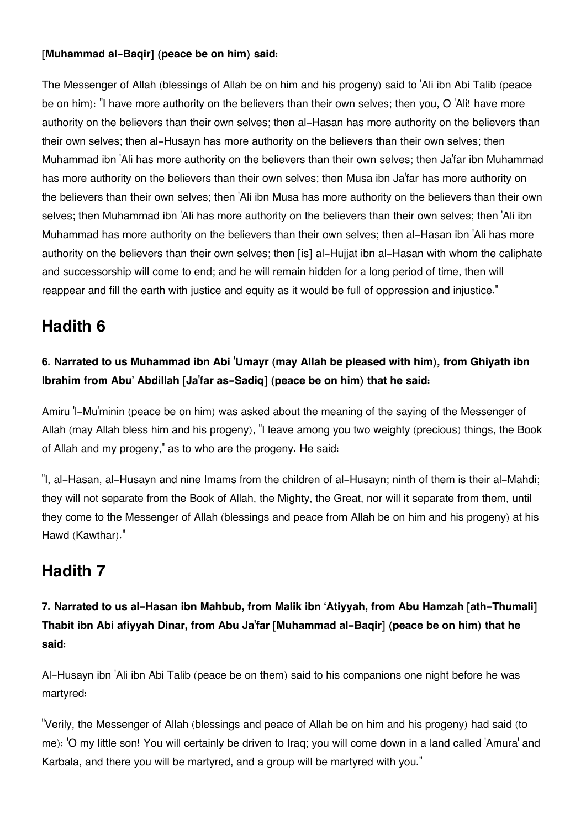#### **[Muhammad al-Baqir] (peace be on him) said:**

The Messenger of Allah (blessings of Allah be on him and his progeny) said to 'Ali ibn Abi Talib (peace be on him): "I have more authority on the believers than their own selves; then you, O 'Ali! have more authority on the believers than their own selves; then al-Hasan has more authority on the believers than their own selves; then al-Husayn has more authority on the believers than their own selves; then Muhammad ibn 'Ali has more authority on the believers than their own selves; then Ja'far ibn Muhammad has more authority on the believers than their own selves; then Musa ibn Ja'far has more authority on the believers than their own selves; then 'Ali ibn Musa has more authority on the believers than their own selves; then Muhammad ibn 'Ali has more authority on the believers than their own selves; then 'Ali ibn Muhammad has more authority on the believers than their own selves; then al-Hasan ibn 'Ali has more authority on the believers than their own selves; then [is] al-Hujjat ibn al-Hasan with whom the caliphate and successorship will come to end; and he will remain hidden for a long period of time, then will reappear and fill the earth with justice and equity as it would be full of oppression and injustice."

### **[Hadith 6](#page--1-0)**

#### **6. Narrated to us Muhammad ibn Abi 'Umayr (may Allah be pleased with him), from Ghiyath ibn Ibrahim from Abu' Abdillah [Ja'far as-Sadiq] (peace be on him) that he said:**

Amiru 'l-Mu'minin (peace be on him) was asked about the meaning of the saying of the Messenger of Allah (may Allah bless him and his progeny), "I leave among you two weighty (precious) things, the Book of Allah and my progeny," as to who are the progeny. He said:

"I, al-Hasan, al-Husayn and nine Imams from the children of al-Husayn; ninth of them is their al-Mahdi; they will not separate from the Book of Allah, the Mighty, the Great, nor will it separate from them, until they come to the Messenger of Allah (blessings and peace from Allah be on him and his progeny) at his Hawd (Kawthar)."

### **[Hadith 7](#page--1-0)**

**7. Narrated to us al-Hasan ibn Mahbub, from Malik ibn 'Atiyyah, from Abu Hamzah [ath-Thumali] Thabit ibn Abi afiyyah Dinar, from Abu Ja'far [Muhammad al-Baqir] (peace be on him) that he said:**

Al-Husayn ibn 'Ali ibn Abi Talib (peace be on them) said to his companions one night before he was martyred:

"Verily, the Messenger of Allah (blessings and peace of Allah be on him and his progeny) had said (to me): 'O my little son! You will certainly be driven to Iraq; you will come down in a land called 'Amura' and Karbala, and there you will be martyred, and a group will be martyred with you."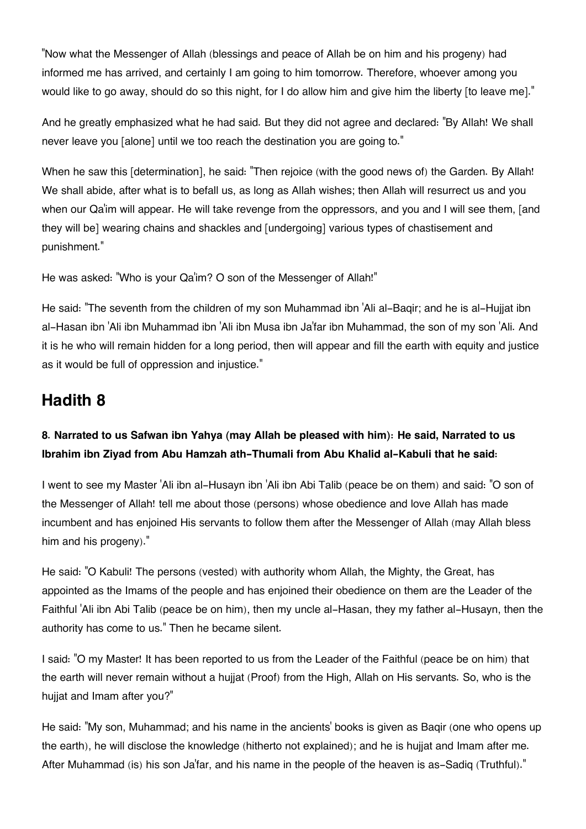"Now what the Messenger of Allah (blessings and peace of Allah be on him and his progeny) had informed me has arrived, and certainly I am going to him tomorrow. Therefore, whoever among you would like to go away, should do so this night, for I do allow him and give him the liberty [to leave me]."

And he greatly emphasized what he had said. But they did not agree and declared: "By Allah! We shall never leave you [alone] until we too reach the destination you are going to."

When he saw this [determination], he said: "Then rejoice (with the good news of) the Garden. By Allah! We shall abide, after what is to befall us, as long as Allah wishes; then Allah will resurrect us and you when our Qa'im will appear. He will take revenge from the oppressors, and you and I will see them, [and they will be] wearing chains and shackles and [undergoing] various types of chastisement and punishment."

He was asked: "Who is your Qa'im? O son of the Messenger of Allah!"

He said: "The seventh from the children of my son Muhammad ibn 'Ali al-Baqir; and he is al-Hujjat ibn al-Hasan ibn 'Ali ibn Muhammad ibn 'Ali ibn Musa ibn Ja'far ibn Muhammad, the son of my son 'Ali. And it is he who will remain hidden for a long period, then will appear and fill the earth with equity and justice as it would be full of oppression and injustice."

#### **[Hadith 8](#page--1-0)**

#### **8. Narrated to us Safwan ibn Yahya (may Allah be pleased with him): He said, Narrated to us Ibrahim ibn Ziyad from Abu Hamzah ath-Thumali from Abu Khalid al-Kabuli that he said:**

I went to see my Master 'Ali ibn al-Husayn ibn 'Ali ibn Abi Talib (peace be on them) and said: "O son of the Messenger of Allah! tell me about those (persons) whose obedience and love Allah has made incumbent and has enjoined His servants to follow them after the Messenger of Allah (may Allah bless him and his progeny)."

He said: "O Kabuli! The persons (vested) with authority whom Allah, the Mighty, the Great, has appointed as the Imams of the people and has enjoined their obedience on them are the Leader of the Faithful 'Ali ibn Abi Talib (peace be on him), then my uncle al-Hasan, they my father al-Husayn, then the authority has come to us." Then he became silent.

I said: "O my Master! It has been reported to us from the Leader of the Faithful (peace be on him) that the earth will never remain without a hujjat (Proof) from the High, Allah on His servants. So, who is the huijat and Imam after you?"

He said: "My son, Muhammad; and his name in the ancients' books is given as Baqir (one who opens up the earth), he will disclose the knowledge (hitherto not explained); and he is hujjat and Imam after me. After Muhammad (is) his son Ja'far, and his name in the people of the heaven is as-Sadiq (Truthful)."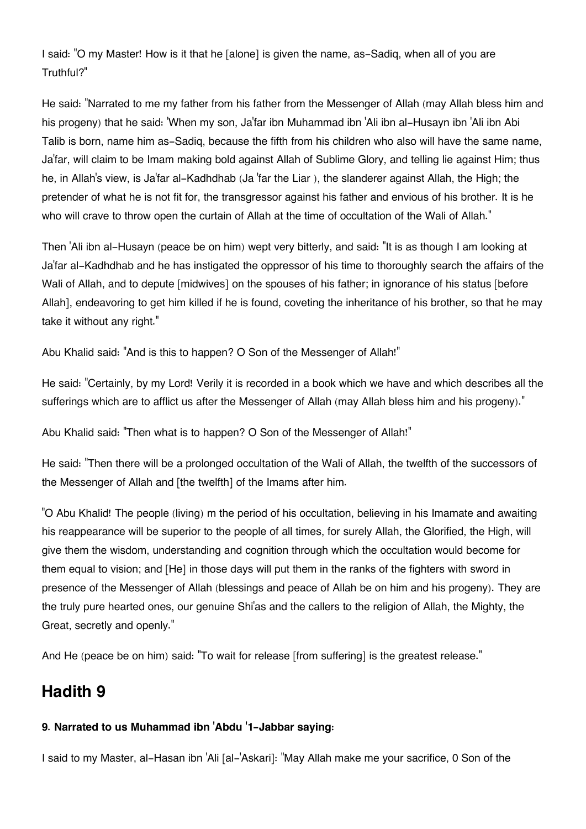I said: "O my Master! How is it that he [alone] is given the name, as-Sadiq, when all of you are Truthful?"

He said: "Narrated to me my father from his father from the Messenger of Allah (may Allah bless him and his progeny) that he said: 'When my son, Ja'far ibn Muhammad ibn 'Ali ibn al-Husayn ibn 'Ali ibn Abi Talib is born, name him as-Sadiq, because the fifth from his children who also will have the same name, Ja'far, will claim to be Imam making bold against Allah of Sublime Glory, and telling lie against Him; thus he, in Allah's view, is Ja'far al-Kadhdhab (Ja 'far the Liar ), the slanderer against Allah, the High; the pretender of what he is not fit for, the transgressor against his father and envious of his brother. It is he who will crave to throw open the curtain of Allah at the time of occultation of the Wali of Allah."

Then 'Ali ibn al-Husayn (peace be on him) wept very bitterly, and said: "It is as though I am looking at Ja'far al-Kadhdhab and he has instigated the oppressor of his time to thoroughly search the affairs of the Wali of Allah, and to depute [midwives] on the spouses of his father; in ignorance of his status [before Allah], endeavoring to get him killed if he is found, coveting the inheritance of his brother, so that he may take it without any right."

Abu Khalid said: "And is this to happen? O Son of the Messenger of Allah!"

He said: "Certainly, by my Lord! Verily it is recorded in a book which we have and which describes all the sufferings which are to afflict us after the Messenger of Allah (may Allah bless him and his progeny)."

Abu Khalid said: "Then what is to happen? O Son of the Messenger of Allah!"

He said: "Then there will be a prolonged occultation of the Wali of Allah, the twelfth of the successors of the Messenger of Allah and [the twelfth] of the Imams after him.

"O Abu Khalid! The people (living) m the period of his occultation, believing in his Imamate and awaiting his reappearance will be superior to the people of all times, for surely Allah, the Glorified, the High, will give them the wisdom, understanding and cognition through which the occultation would become for them equal to vision; and [He] in those days will put them in the ranks of the fighters with sword in presence of the Messenger of Allah (blessings and peace of Allah be on him and his progeny). They are the truly pure hearted ones, our genuine Shi'as and the callers to the religion of Allah, the Mighty, the Great, secretly and openly."

And He (peace be on him) said: "To wait for release [from suffering] is the greatest release."

### **[Hadith 9](#page--1-0)**

#### **9. Narrated to us Muhammad ibn 'Abdu '1-Jabbar saying:**

I said to my Master, al-Hasan ibn 'Ali [al-'Askari]: "May Allah make me your sacrifice, 0 Son of the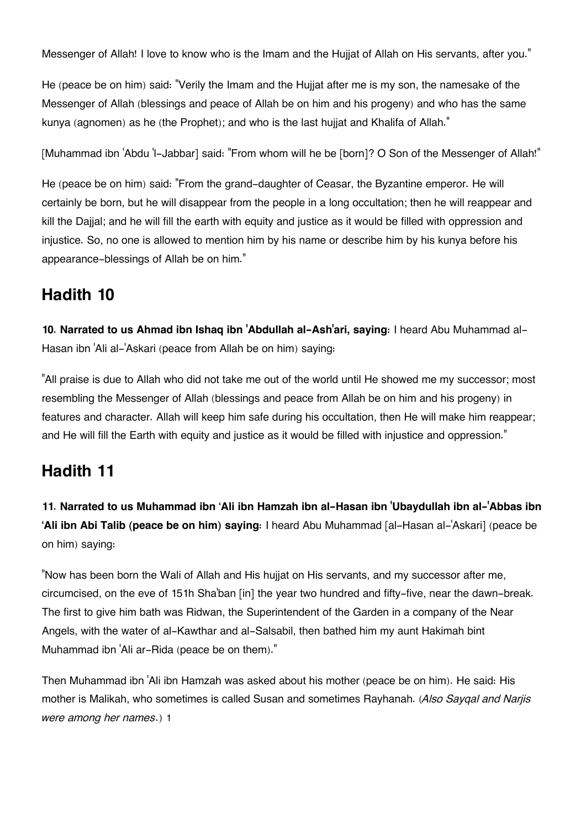Messenger of Allah! I love to know who is the Imam and the Hujjat of Allah on His servants, after you."

He (peace be on him) said: "Verily the Imam and the Hujjat after me is my son, the namesake of the Messenger of Allah (blessings and peace of Allah be on him and his progeny) and who has the same kunya (agnomen) as he (the Prophet); and who is the last hujjat and Khalifa of Allah."

[Muhammad ibn 'Abdu 'I-Jabbar] said: "From whom will he be [born]? O Son of the Messenger of Allah!"

He (peace be on him) said: "From the grand-daughter of Ceasar, the Byzantine emperor. He will certainly be born, but he will disappear from the people in a long occultation; then he will reappear and kill the Dajjal; and he will fill the earth with equity and justice as it would be filled with oppression and injustice. So, no one is allowed to mention him by his name or describe him by his kunya before his appearance-blessings of Allah be on him."

### **[Hadith 10](#page--1-0)**

**10. Narrated to us Ahmad ibn Ishaq ibn 'Abdullah al-Ash'ari, saying:** I heard Abu Muhammad al-Hasan ibn 'Ali al-'Askari (peace from Allah be on him) saying:

"All praise is due to Allah who did not take me out of the world until He showed me my successor; most resembling the Messenger of Allah (blessings and peace from Allah be on him and his progeny) in features and character. Allah will keep him safe during his occultation, then He will make him reappear; and He will fill the Earth with equity and justice as it would be filled with injustice and oppression."

### **[Hadith 11](#page--1-0)**

**11. Narrated to us Muhammad ibn 'Ali ibn Hamzah ibn al-Hasan ibn 'Ubaydullah ibn al-'Abbas ibn 'Ali ibn Abi Talib (peace be on him) saying:** I heard Abu Muhammad [al-Hasan al-'Askari] (peace be on him) saying:

"Now has been born the Wali of Allah and His hujjat on His servants, and my successor after me, circumcised, on the eve of 151h Sha'ban [in] the year two hundred and fifty-five, near the dawn-break. The first to give him bath was Ridwan, the Superintendent of the Garden in a company of the Near Angels, with the water of al-Kawthar and al-Salsabil, then bathed him my aunt Hakimah bint Muhammad ibn 'Ali ar-Rida (peace be on them)."

Then Muhammad ibn 'Ali ibn Hamzah was asked about his mother (peace be on him). He said: His mother is Malikah, who sometimes is called Susan and sometimes Rayhanah. (*Also Sayqal and Narjis were among her names*.) [1](#page--1-0)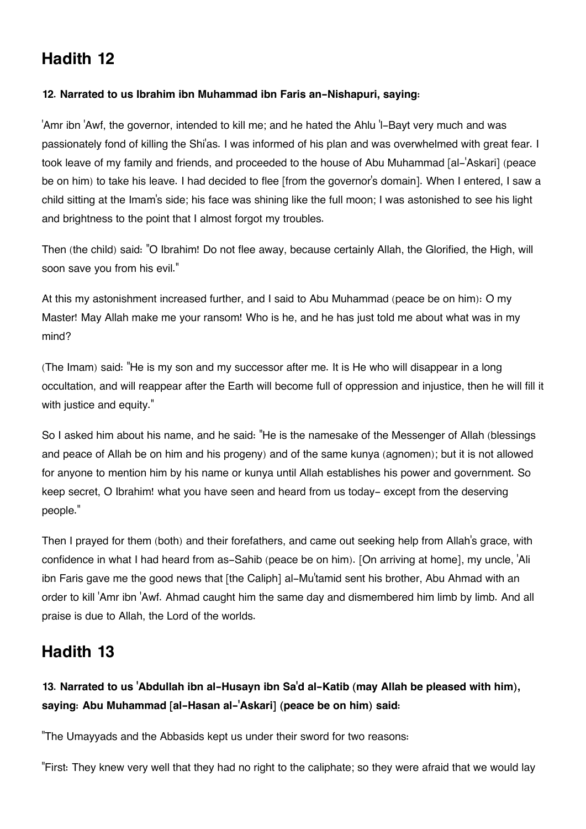## **[Hadith 12](#page--1-0)**

#### **12. Narrated to us Ibrahim ibn Muhammad ibn Faris an-Nishapuri, saying:**

'Amr ibn 'Awf, the governor, intended to kill me; and he hated the Ahlu 'l-Bayt very much and was passionately fond of killing the Shi'as. I was informed of his plan and was overwhelmed with great fear. I took leave of my family and friends, and proceeded to the house of Abu Muhammad [al-'Askari] (peace be on him) to take his leave. I had decided to flee [from the governor's domain]. When I entered, I saw a child sitting at the Imam's side; his face was shining like the full moon; I was astonished to see his light and brightness to the point that I almost forgot my troubles.

Then (the child) said: "O Ibrahim! Do not flee away, because certainly Allah, the Glorified, the High, will soon save you from his evil."

At this my astonishment increased further, and I said to Abu Muhammad (peace be on him): O my Master! May Allah make me your ransom! Who is he, and he has just told me about what was in my mind?

(The Imam) said: "He is my son and my successor after me. It is He who will disappear in a long occultation, and will reappear after the Earth will become full of oppression and injustice, then he will fill it with justice and equity."

So I asked him about his name, and he said: "He is the namesake of the Messenger of Allah (blessings and peace of Allah be on him and his progeny) and of the same kunya (agnomen); but it is not allowed for anyone to mention him by his name or kunya until Allah establishes his power and government. So keep secret, O Ibrahim! what you have seen and heard from us today- except from the deserving people."

Then I prayed for them (both) and their forefathers, and came out seeking help from Allah's grace, with confidence in what I had heard from as-Sahib (peace be on him). [On arriving at home], my uncle, 'Ali ibn Faris gave me the good news that [the Caliph] al-Mu'tamid sent his brother, Abu Ahmad with an order to kill 'Amr ibn 'Awf. Ahmad caught him the same day and dismembered him limb by limb. And all praise is due to Allah, the Lord of the worlds.

### **[Hadith 13](#page--1-0)**

#### **13. Narrated to us 'Abdullah ibn al-Husayn ibn Sa'd al-Katib (may Allah be pleased with him), saying: Abu Muhammad [al-Hasan al-'Askari] (peace be on him) said:**

"The Umayyads and the Abbasids kept us under their sword for two reasons:

"First: They knew very well that they had no right to the caliphate; so they were afraid that we would lay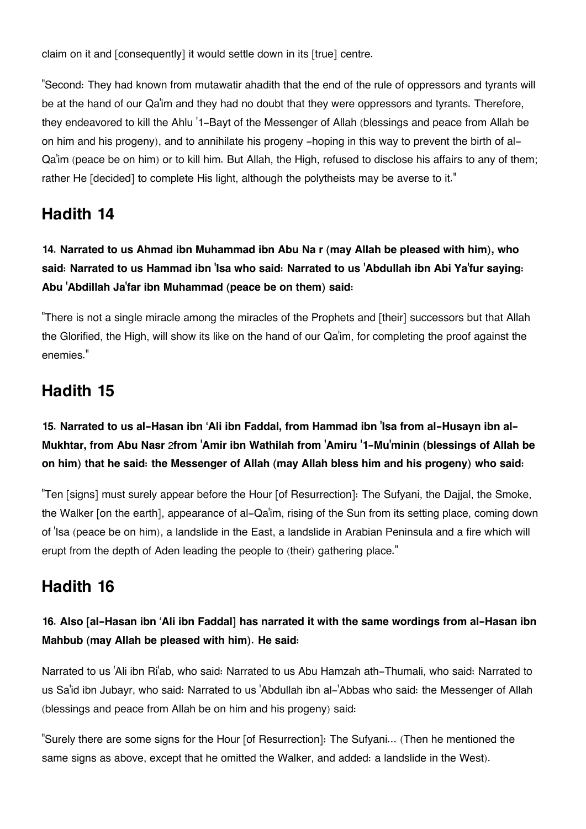claim on it and [consequently] it would settle down in its [true] centre.

"Second: They had known from mutawatir ahadith that the end of the rule of oppressors and tyrants will be at the hand of our Qa'im and they had no doubt that they were oppressors and tyrants. Therefore, they endeavored to kill the Ahlu '1-Bayt of the Messenger of Allah (blessings and peace from Allah be on him and his progeny), and to annihilate his progeny -hoping in this way to prevent the birth of al-Qa'im (peace be on him) or to kill him. But Allah, the High, refused to disclose his affairs to any of them; rather He [decided] to complete His light, although the polytheists may be averse to it."

## **[Hadith 14](#page--1-0)**

**14. Narrated to us Ahmad ibn Muhammad ibn Abu Na r (may Allah be pleased with him), who said: Narrated to us Hammad ibn 'Isa who said: Narrated to us 'Abdullah ibn Abi Ya'fur saying: Abu 'Abdillah Ja'far ibn Muhammad (peace be on them) said:**

"There is not a single miracle among the miracles of the Prophets and [their] successors but that Allah the Glorified, the High, will show its like on the hand of our Qa'im, for completing the proof against the enemies."

#### **[Hadith 15](#page--1-0)**

#### **15. Narrated to us al-Hasan ibn 'Ali ibn Faddal, from Hammad ibn 'Isa from al-Husayn ibn al-Mukhtar, from Abu Nasr** [2](#page--1-0)**from 'Amir ibn Wathilah from 'Amiru '1-Mu'minin (blessings of Allah be on him) that he said: the Messenger of Allah (may Allah bless him and his progeny) who said:**

"Ten [signs] must surely appear before the Hour [of Resurrection]: The Sufyani, the Dajjal, the Smoke, the Walker [on the earth], appearance of al-Qa'im, rising of the Sun from its setting place, coming down of 'Isa (peace be on him), a landslide in the East, a landslide in Arabian Peninsula and a fire which will erupt from the depth of Aden leading the people to (their) gathering place."

#### **[Hadith 16](#page--1-0)**

#### **16. Also [al-Hasan ibn 'Ali ibn Faddal] has narrated it with the same wordings from al-Hasan ibn Mahbub (may Allah be pleased with him). He said:**

Narrated to us 'Ali ibn Ri'ab, who said: Narrated to us Abu Hamzah ath-Thumali, who said: Narrated to us Sa'id ibn Jubayr, who said: Narrated to us 'Abdullah ibn al-'Abbas who said: the Messenger of Allah (blessings and peace from Allah be on him and his progeny) said:

"Surely there are some signs for the Hour [of Resurrection]: The Sufyani... (Then he mentioned the same signs as above, except that he omitted the Walker, and added: a landslide in the West).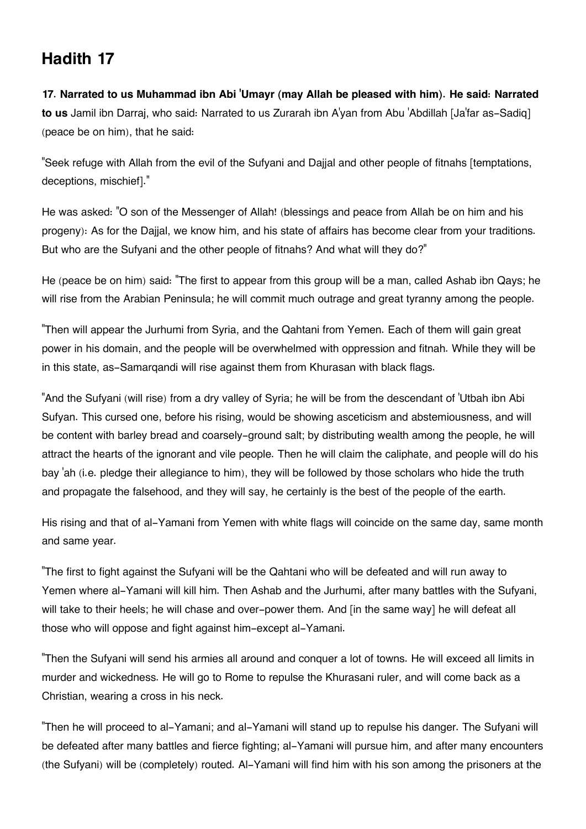#### **[Hadith 17](#page--1-0)**

**17. Narrated to us Muhammad ibn Abi 'Umayr (may Allah be pleased with him). He said: Narrated to us** Jamil ibn Darraj, who said: Narrated to us Zurarah ibn A'yan from Abu 'Abdillah [Ja'far as-Sadiq] (peace be on him), that he said:

"Seek refuge with Allah from the evil of the Sufyani and Dajjal and other people of fitnahs [temptations, deceptions, mischief]."

He was asked: "O son of the Messenger of Allah! (blessings and peace from Allah be on him and his progeny): As for the Dajjal, we know him, and his state of affairs has become clear from your traditions. But who are the Sufyani and the other people of fitnahs? And what will they do?"

He (peace be on him) said: "The first to appear from this group will be a man, called Ashab ibn Qays; he will rise from the Arabian Peninsula; he will commit much outrage and great tyranny among the people.

"Then will appear the Jurhumi from Syria, and the Qahtani from Yemen. Each of them will gain great power in his domain, and the people will be overwhelmed with oppression and fitnah. While they will be in this state, as-Samarqandi will rise against them from Khurasan with black flags.

"And the Sufyani (will rise) from a dry valley of Syria; he will be from the descendant of 'Utbah ibn Abi Sufyan. This cursed one, before his rising, would be showing asceticism and abstemiousness, and will be content with barley bread and coarsely-ground salt; by distributing wealth among the people, he will attract the hearts of the ignorant and vile people. Then he will claim the caliphate, and people will do his bay 'ah (i.e. pledge their allegiance to him), they will be followed by those scholars who hide the truth and propagate the falsehood, and they will say, he certainly is the best of the people of the earth.

His rising and that of al-Yamani from Yemen with white flags will coincide on the same day, same month and same year.

"The first to fight against the Sufyani will be the Qahtani who will be defeated and will run away to Yemen where al-Yamani will kill him. Then Ashab and the Jurhumi, after many battles with the Sufyani, will take to their heels; he will chase and over-power them. And [in the same way] he will defeat all those who will oppose and fight against him-except al-Yamani.

"Then the Sufyani will send his armies all around and conquer a lot of towns. He will exceed all limits in murder and wickedness. He will go to Rome to repulse the Khurasani ruler, and will come back as a Christian, wearing a cross in his neck.

"Then he will proceed to al-Yamani; and al-Yamani will stand up to repulse his danger. The Sufyani will be defeated after many battles and fierce fighting; al-Yamani will pursue him, and after many encounters (the Sufyani) will be (completely) routed. Al-Yamani will find him with his son among the prisoners at the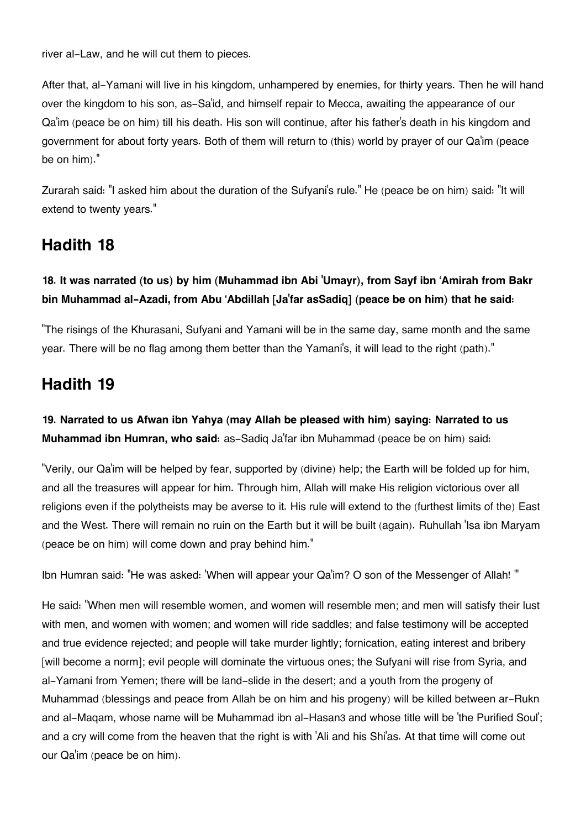river al-Law, and he will cut them to pieces.

After that, al-Yamani will live in his kingdom, unhampered by enemies, for thirty years. Then he will hand over the kingdom to his son, as-Sa'id, and himself repair to Mecca, awaiting the appearance of our Qa'im (peace be on him) till his death. His son will continue, after his father's death in his kingdom and government for about forty years. Both of them will return to (this) world by prayer of our Qa'im (peace be on him)."

Zurarah said: "I asked him about the duration of the Sufyani's rule." He (peace be on him) said: "It will extend to twenty years."

### **[Hadith 18](#page--1-0)**

#### **18. It was narrated (to us) by him (Muhammad ibn Abi 'Umayr), from Sayf ibn 'Amirah from Bakr bin Muhammad al-Azadi, from Abu 'Abdillah [Ja'far asSadiq] (peace be on him) that he said:**

"The risings of the Khurasani, Sufyani and Yamani will be in the same day, same month and the same year. There will be no flag among them better than the Yamani's, it will lead to the right (path)."

## **[Hadith 19](#page--1-0)**

**19. Narrated to us Afwan ibn Yahya (may Allah be pleased with him) saying: Narrated to us Muhammad ibn Humran, who said:** as-Sadiq Ja'far ibn Muhammad (peace be on him) said:

"Verily, our Qa'im will be helped by fear, supported by (divine) help; the Earth will be folded up for him, and all the treasures will appear for him. Through him, Allah will make His religion victorious over all religions even if the polytheists may be averse to it. His rule will extend to the (furthest limits of the) East and the West. There will remain no ruin on the Earth but it will be built (again). Ruhullah 'Isa ibn Maryam (peace be on him) will come down and pray behind him."

Ibn Humran said: "He was asked: 'When will appear your Qa'im? O son of the Messenger of Allah! '"

He said: "When men will resemble women, and women will resemble men; and men will satisfy their lust with men, and women with women; and women will ride saddles; and false testimony will be accepted and true evidence rejected; and people will take murder lightly; fornication, eating interest and bribery [will become a norm]; evil people will dominate the virtuous ones; the Sufyani will rise from Syria, and al-Yamani from Yemen; there will be land-slide in the desert; and a youth from the progeny of Muhammad (blessings and peace from Allah be on him and his progeny) will be killed between ar-Rukn and al-Maqam, whose name will be Muhammad ibn al-Hasan[3](#page--1-0) and whose title will be 'the Purified Soul'; and a cry will come from the heaven that the right is with 'Ali and his Shi'as. At that time will come out our Qa'im (peace be on him).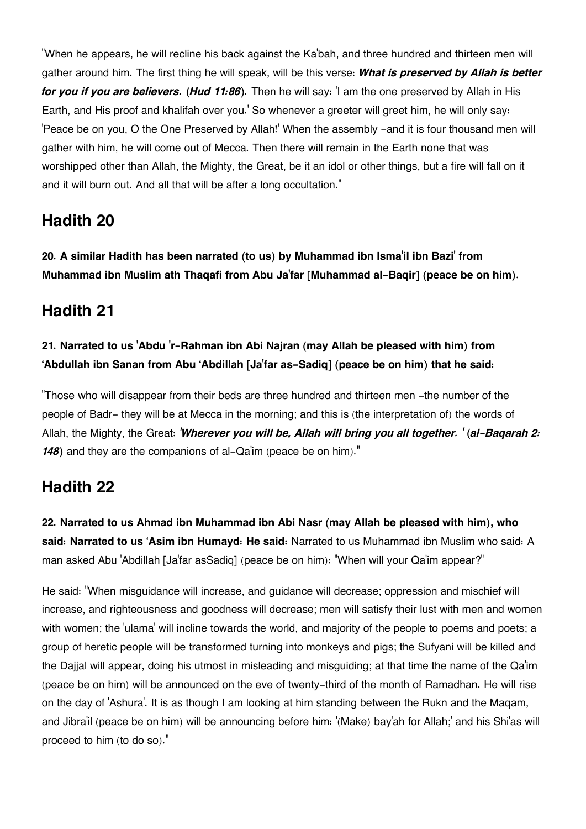"When he appears, he will recline his back against the Ka'bah, and three hundred and thirteen men will gather around him. The first thing he will speak, will be this verse: *What is preserved by Allah is better for you if you are believers. (Hud 11:86).* Then he will say: 'I am the one preserved by Allah in His Earth, and His proof and khalifah over you.' So whenever a greeter will greet him, he will only say: 'Peace be on you, O the One Preserved by Allah!' When the assembly -and it is four thousand men will gather with him, he will come out of Mecca. Then there will remain in the Earth none that was worshipped other than Allah, the Mighty, the Great, be it an idol or other things, but a fire will fall on it and it will burn out. And all that will be after a long occultation."

#### **[Hadith 20](#page--1-0)**

**20. A similar Hadith has been narrated (to us) by Muhammad ibn Isma'il ibn Bazi' from Muhammad ibn Muslim ath Thaqafi from Abu Ja'far [Muhammad al-Baqir] (peace be on him).**

#### **[Hadith 21](#page--1-0)**

#### **21. Narrated to us 'Abdu 'r-Rahman ibn Abi Najran (may Allah be pleased with him) from 'Abdullah ibn Sanan from Abu 'Abdillah [Ja'far as-Sadiq] (peace be on him) that he said:**

"Those who will disappear from their beds are three hundred and thirteen men -the number of the people of Badr- they will be at Mecca in the morning; and this is (the interpretation of) the words of Allah, the Mighty, the Great: *'Wherever you will be, Allah will bring you all together. ' (al-Baqarah 2: 148)* and they are the companions of al-Qa'im (peace be on him)."

#### **[Hadith 22](#page--1-0)**

**22. Narrated to us Ahmad ibn Muhammad ibn Abi Nasr (may Allah be pleased with him), who said: Narrated to us 'Asim ibn Humayd: He said:** Narrated to us Muhammad ibn Muslim who said: A man asked Abu 'Abdillah [Ja'far asSadiq] (peace be on him): "When will your Qa'im appear?"

He said: "When misguidance will increase, and guidance will decrease; oppression and mischief will increase, and righteousness and goodness will decrease; men will satisfy their lust with men and women with women; the 'ulama' will incline towards the world, and majority of the people to poems and poets; a group of heretic people will be transformed turning into monkeys and pigs; the Sufyani will be killed and the Dajjal will appear, doing his utmost in misleading and misguiding; at that time the name of the Qa'im (peace be on him) will be announced on the eve of twenty-third of the month of Ramadhan. He will rise on the day of 'Ashura'. It is as though I am looking at him standing between the Rukn and the Maqam, and Jibra'il (peace be on him) will be announcing before him: '(Make) bay'ah for Allah;' and his Shi'as will proceed to him (to do so)."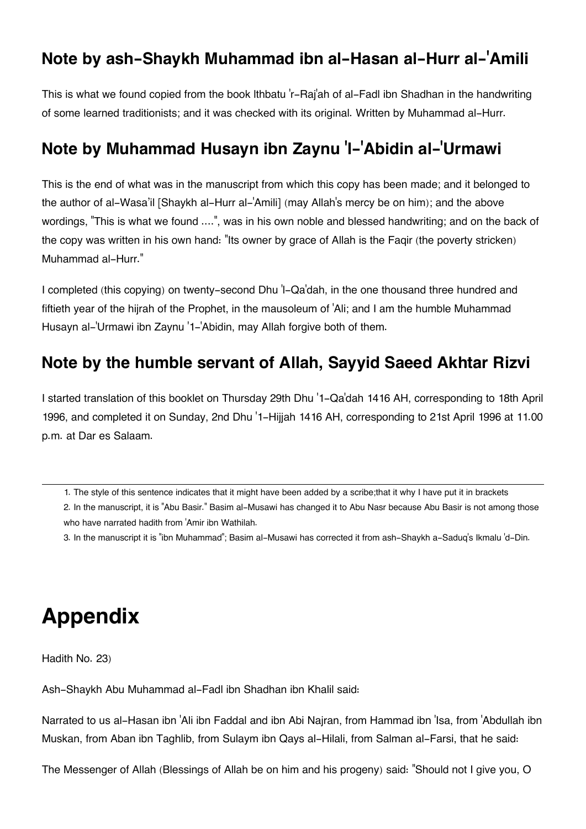#### **[Note by ash-Shaykh Muhammad ibn al-Hasan al-Hurr al-](#page--1-0)'Amili**

This is what we found copied from the book lthbatu 'r-Raj'ah of al-Fadl ibn Shadhan in the handwriting of some learned traditionists; and it was checked with its original. Written by Muhammad al-Hurr.

### **[Note by Muhammad Husayn ibn Zaynu](#page--1-0) 'l-'Abidin al-'Urmawi**

This is the end of what was in the manuscript from which this copy has been made; and it belonged to the author of al-Wasa'il [Shaykh al-Hurr al-'Amili] (may Allah's mercy be on him); and the above wordings, "This is what we found ....", was in his own noble and blessed handwriting; and on the back of the copy was written in his own hand: "Its owner by grace of Allah is the Faqir (the poverty stricken) Muhammad al-Hurr."

I completed (this copying) on twenty-second Dhu 'l-Qa'dah, in the one thousand three hundred and fiftieth year of the hijrah of the Prophet, in the mausoleum of 'Ali; and I am the humble Muhammad Husayn al-'Urmawi ibn Zaynu '1-'Abidin, may Allah forgive both of them.

#### **[Note by the humble servant of Allah, Sayyid Saeed Akhtar Rizvi](#page--1-0)**

I started translation of this booklet on Thursday 29th Dhu '1-Qa'dah 1416 AH, corresponding to 18th April 1996, and completed it on Sunday, 2nd Dhu '1-Hijjah 1416 AH, corresponding to 21st April 1996 at 11.00 p.m. at Dar es Salaam.

[1.](#page--1-0) The style of this sentence indicates that it might have been added by a scribe;that it why I have put it in brackets

[2.](#page--1-0) In the manuscript, it is "Abu Basir." Basim al-Musawi has changed it to Abu Nasr because Abu Basir is not among those who have narrated hadith from 'Amir ibn Wathilah.

[3.](#page--1-0) In the manuscript it is "ibn Muhammad"; Basim al-Musawi has corrected it from ash-Shaykh a-Saduq's Ikmalu 'd-Din.

# **Appendix**

Hadith No. 23)

Ash-Shaykh Abu Muhammad al-Fadl ibn Shadhan ibn Khalil said:

Narrated to us al-Hasan ibn 'Ali ibn Faddal and ibn Abi Najran, from Hammad ibn 'Isa, from 'Abdullah ibn Muskan, from Aban ibn Taghlib, from Sulaym ibn Qays al-Hilali, from Salman al-Farsi, that he said:

The Messenger of Allah (Blessings of Allah be on him and his progeny) said: "Should not I give you, O